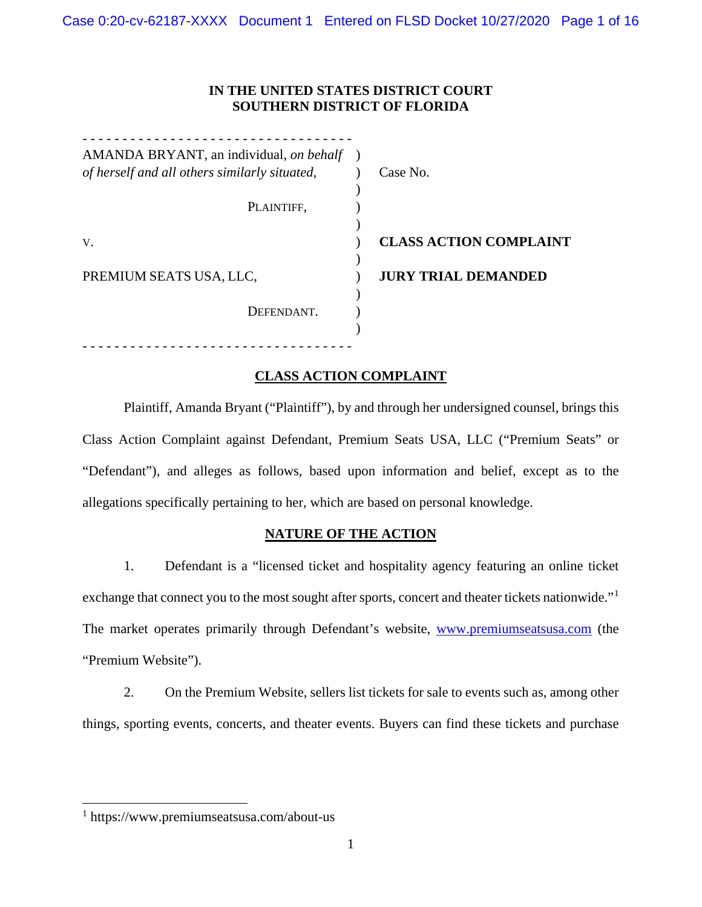## **IN THE UNITED STATES DISTRICT COURT SOUTHERN DISTRICT OF FLORIDA**

| AMANDA BRYANT, an individual, on behalf       |                               |
|-----------------------------------------------|-------------------------------|
| of herself and all others similarly situated, | Case No.                      |
|                                               |                               |
| PLAINTIFF,                                    |                               |
|                                               |                               |
| V.                                            | <b>CLASS ACTION COMPLAINT</b> |
| PREMIUM SEATS USA, LLC,                       | <b>JURY TRIAL DEMANDED</b>    |
| DEFENDANT.                                    |                               |
|                                               |                               |
|                                               |                               |

## **CLASS ACTION COMPLAINT**

Plaintiff, Amanda Bryant ("Plaintiff"), by and through her undersigned counsel, brings this Class Action Complaint against Defendant, Premium Seats USA, LLC ("Premium Seats" or "Defendant"), and alleges as follows, based upon information and belief, except as to the allegations specifically pertaining to her, which are based on personal knowledge.

## **NATURE OF THE ACTION**

1. Defendant is a "licensed ticket and hospitality agency featuring an online ticket exchange that connect you to the most sought after sports, concert and theater tickets nationwide."<sup>[1](#page-0-0)</sup> The market operates primarily through Defendant's website, [www.premiumseatsusa.com](http://www.premiumseatsusa.com/) (the "Premium Website").

2. On the Premium Website, sellers list tickets for sale to events such as, among other things, sporting events, concerts, and theater events. Buyers can find these tickets and purchase

<span id="page-0-0"></span><sup>1</sup> https://www.premiumseatsusa.com/about-us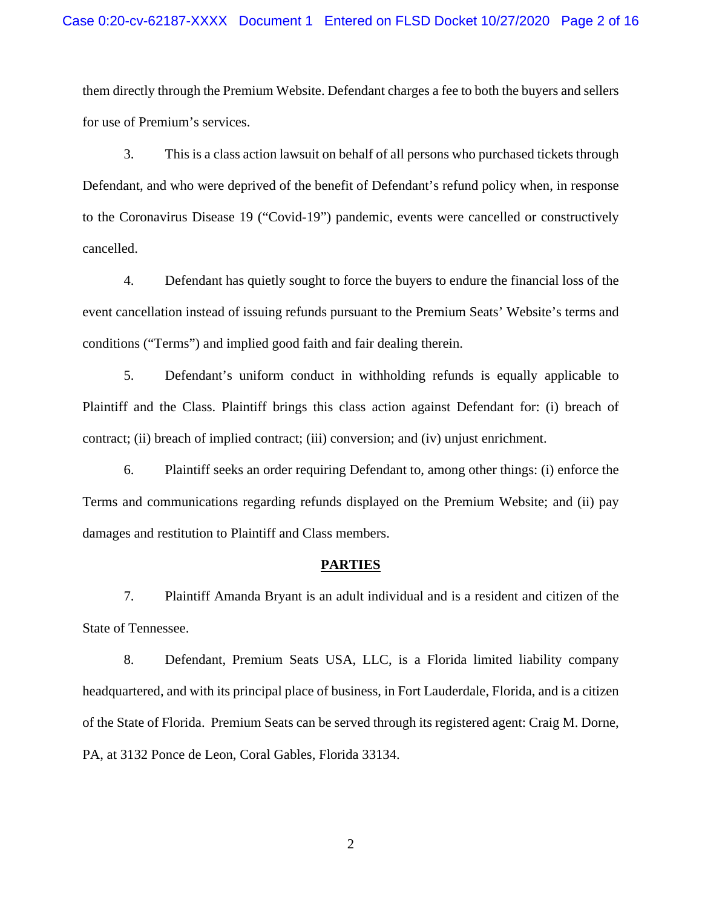#### Case 0:20-cv-62187-XXXX Document 1 Entered on FLSD Docket 10/27/2020 Page 2 of 16

them directly through the Premium Website. Defendant charges a fee to both the buyers and sellers for use of Premium's services.

3. This is a class action lawsuit on behalf of all persons who purchased tickets through Defendant, and who were deprived of the benefit of Defendant's refund policy when, in response to the Coronavirus Disease 19 ("Covid-19") pandemic, events were cancelled or constructively cancelled.

4. Defendant has quietly sought to force the buyers to endure the financial loss of the event cancellation instead of issuing refunds pursuant to the Premium Seats' Website's terms and conditions ("Terms") and implied good faith and fair dealing therein.

5. Defendant's uniform conduct in withholding refunds is equally applicable to Plaintiff and the Class. Plaintiff brings this class action against Defendant for: (i) breach of contract; (ii) breach of implied contract; (iii) conversion; and (iv) unjust enrichment.

6. Plaintiff seeks an order requiring Defendant to, among other things: (i) enforce the Terms and communications regarding refunds displayed on the Premium Website; and (ii) pay damages and restitution to Plaintiff and Class members.

#### **PARTIES**

7. Plaintiff Amanda Bryant is an adult individual and is a resident and citizen of the State of Tennessee.

8. Defendant, Premium Seats USA, LLC, is a Florida limited liability company headquartered, and with its principal place of business, in Fort Lauderdale, Florida, and is a citizen of the State of Florida. Premium Seats can be served through its registered agent: Craig M. Dorne, PA, at 3132 Ponce de Leon, Coral Gables, Florida 33134.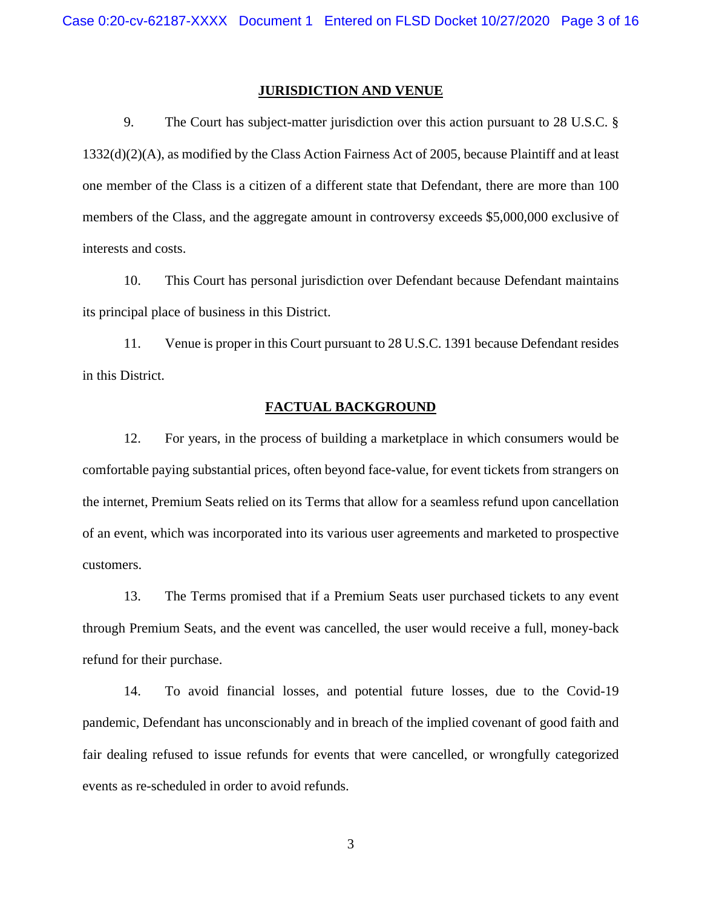#### **JURISDICTION AND VENUE**

9. The Court has subject-matter jurisdiction over this action pursuant to 28 U.S.C. § 1332(d)(2)(A), as modified by the Class Action Fairness Act of 2005, because Plaintiff and at least one member of the Class is a citizen of a different state that Defendant, there are more than 100 members of the Class, and the aggregate amount in controversy exceeds \$5,000,000 exclusive of interests and costs.

10. This Court has personal jurisdiction over Defendant because Defendant maintains its principal place of business in this District.

11. Venue is proper in this Court pursuant to 28 U.S.C. 1391 because Defendant resides in this District.

#### **FACTUAL BACKGROUND**

12. For years, in the process of building a marketplace in which consumers would be comfortable paying substantial prices, often beyond face-value, for event tickets from strangers on the internet, Premium Seats relied on its Terms that allow for a seamless refund upon cancellation of an event, which was incorporated into its various user agreements and marketed to prospective customers.

13. The Terms promised that if a Premium Seats user purchased tickets to any event through Premium Seats, and the event was cancelled, the user would receive a full, money-back refund for their purchase.

14. To avoid financial losses, and potential future losses, due to the Covid-19 pandemic, Defendant has unconscionably and in breach of the implied covenant of good faith and fair dealing refused to issue refunds for events that were cancelled, or wrongfully categorized events as re-scheduled in order to avoid refunds.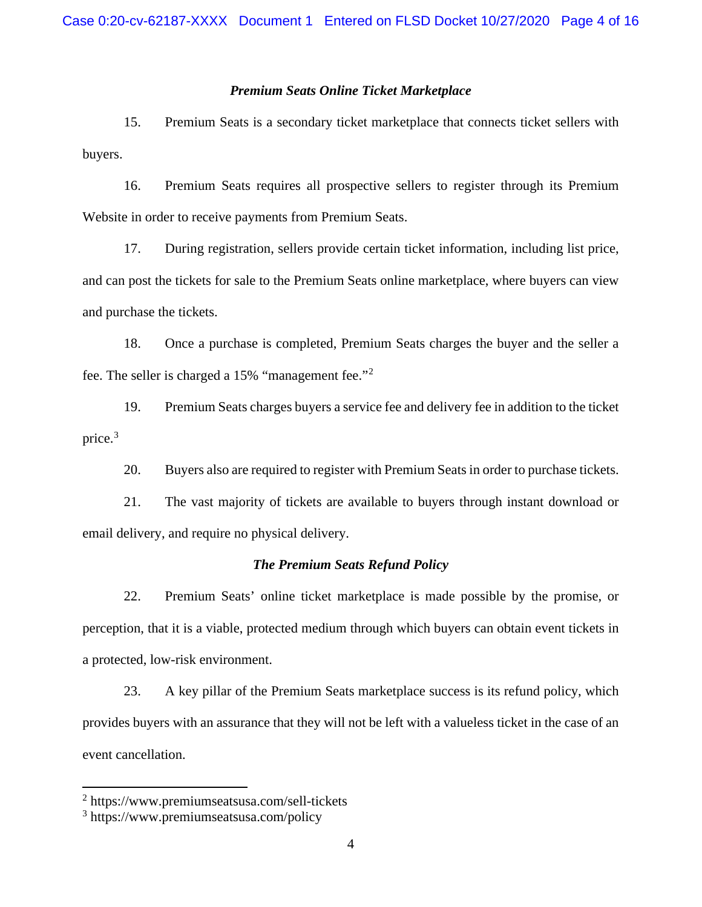#### *Premium Seats Online Ticket Marketplace*

15. Premium Seats is a secondary ticket marketplace that connects ticket sellers with buyers.

16. Premium Seats requires all prospective sellers to register through its Premium Website in order to receive payments from Premium Seats.

17. During registration, sellers provide certain ticket information, including list price, and can post the tickets for sale to the Premium Seats online marketplace, where buyers can view and purchase the tickets.

18. Once a purchase is completed, Premium Seats charges the buyer and the seller a fee. The seller is charged a 15% "management fee."[2](#page-3-0)

19. Premium Seats charges buyers a service fee and delivery fee in addition to the ticket price. [3](#page-3-1)

20. Buyers also are required to register with Premium Seats in order to purchase tickets.

21. The vast majority of tickets are available to buyers through instant download or email delivery, and require no physical delivery.

## *The Premium Seats Refund Policy*

22. Premium Seats' online ticket marketplace is made possible by the promise, or perception, that it is a viable, protected medium through which buyers can obtain event tickets in a protected, low-risk environment.

23. A key pillar of the Premium Seats marketplace success is its refund policy, which provides buyers with an assurance that they will not be left with a valueless ticket in the case of an event cancellation.

<span id="page-3-0"></span><sup>2</sup> https://www.premiumseatsusa.com/sell-tickets

<span id="page-3-1"></span><sup>3</sup> https://www.premiumseatsusa.com/policy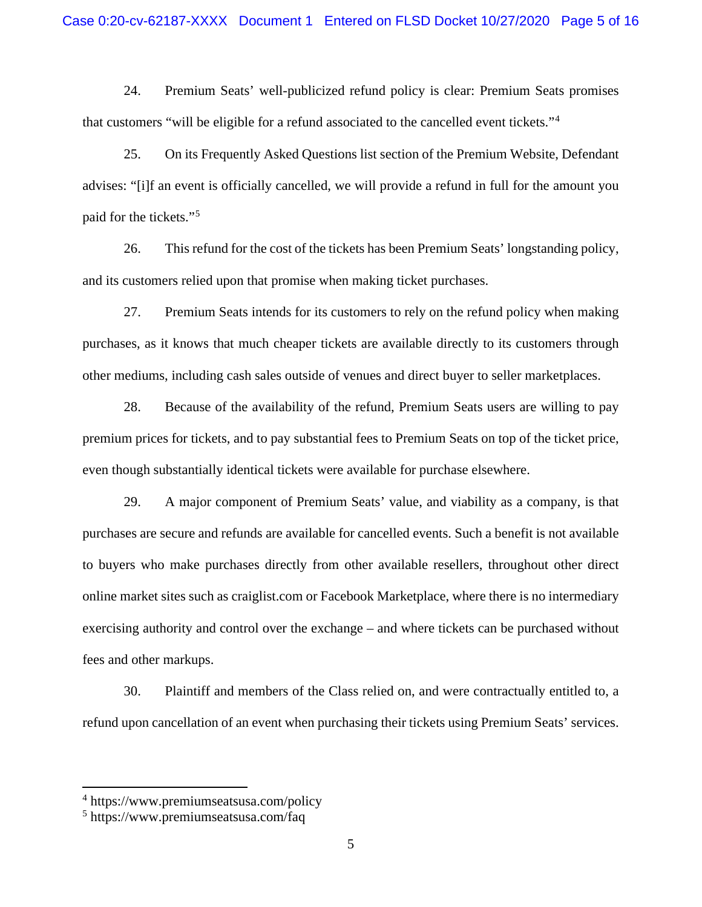24. Premium Seats' well-publicized refund policy is clear: Premium Seats promises that customers "will be eligible for a refund associated to the cancelled event tickets."[4](#page-4-0)

25. On its Frequently Asked Questions list section of the Premium Website, Defendant advises: "[i]f an event is officially cancelled, we will provide a refund in full for the amount you paid for the tickets."[5](#page-4-1)

26. This refund for the cost of the tickets has been Premium Seats' longstanding policy, and its customers relied upon that promise when making ticket purchases.

27. Premium Seats intends for its customers to rely on the refund policy when making purchases, as it knows that much cheaper tickets are available directly to its customers through other mediums, including cash sales outside of venues and direct buyer to seller marketplaces.

28. Because of the availability of the refund, Premium Seats users are willing to pay premium prices for tickets, and to pay substantial fees to Premium Seats on top of the ticket price, even though substantially identical tickets were available for purchase elsewhere.

29. A major component of Premium Seats' value, and viability as a company, is that purchases are secure and refunds are available for cancelled events. Such a benefit is not available to buyers who make purchases directly from other available resellers, throughout other direct online market sites such as craiglist.com or Facebook Marketplace, where there is no intermediary exercising authority and control over the exchange – and where tickets can be purchased without fees and other markups.

30. Plaintiff and members of the Class relied on, and were contractually entitled to, a refund upon cancellation of an event when purchasing their tickets using Premium Seats' services.

<span id="page-4-0"></span><sup>4</sup> https://www.premiumseatsusa.com/policy

<span id="page-4-1"></span><sup>5</sup> https://www.premiumseatsusa.com/faq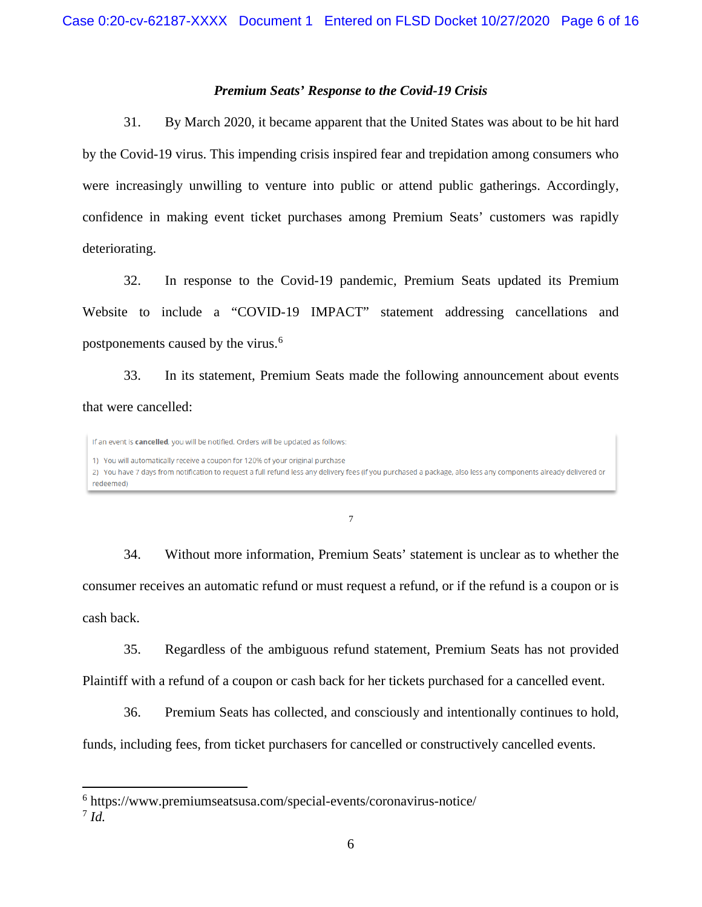#### *Premium Seats' Response to the Covid-19 Crisis*

31. By March 2020, it became apparent that the United States was about to be hit hard by the Covid-19 virus. This impending crisis inspired fear and trepidation among consumers who were increasingly unwilling to venture into public or attend public gatherings. Accordingly, confidence in making event ticket purchases among Premium Seats' customers was rapidly deteriorating.

32. In response to the Covid-19 pandemic, Premium Seats updated its Premium Website to include a "COVID-19 IMPACT" statement addressing cancellations and postponements caused by the virus.<sup>[6](#page-5-0)</sup>

33. In its statement, Premium Seats made the following announcement about events that were cancelled:

If an event is cancelled, you will be notified. Orders will be updated as follows: 1) You will automatically receive a coupon for 120% of your original purchase 2) You have 7 days from notification to request a full refund less any delivery fees (if you purchased a package, also less any components already delivered or redeemed)

[7](#page-5-1)

34. Without more information, Premium Seats' statement is unclear as to whether the consumer receives an automatic refund or must request a refund, or if the refund is a coupon or is cash back.

35. Regardless of the ambiguous refund statement, Premium Seats has not provided Plaintiff with a refund of a coupon or cash back for her tickets purchased for a cancelled event.

36. Premium Seats has collected, and consciously and intentionally continues to hold,

funds, including fees, from ticket purchasers for cancelled or constructively cancelled events.

<span id="page-5-0"></span><sup>6</sup> https://www.premiumseatsusa.com/special-events/coronavirus-notice/

<span id="page-5-1"></span><sup>7</sup> *Id.*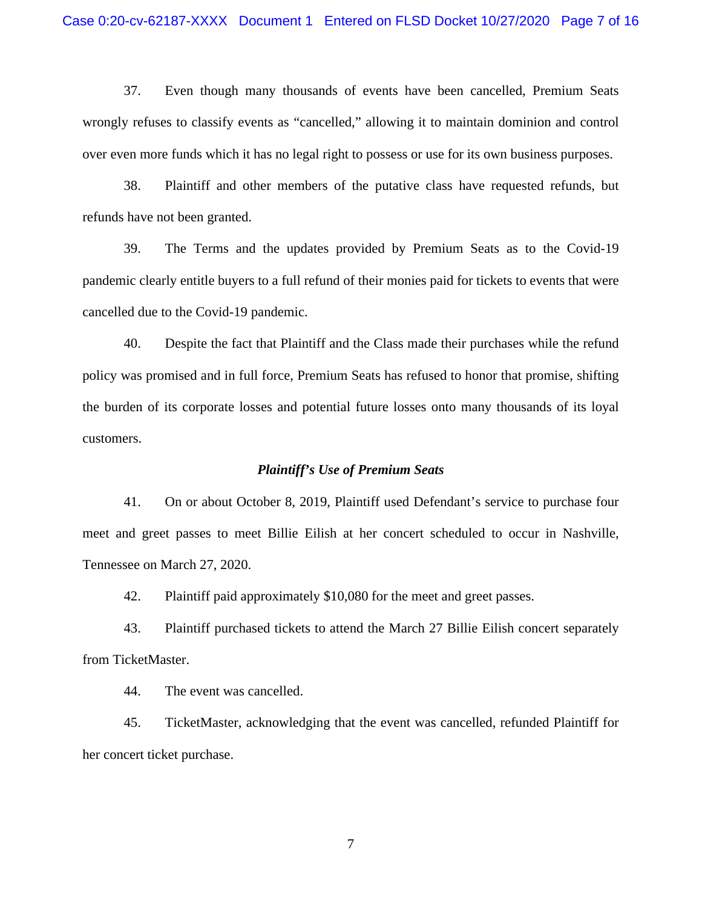37. Even though many thousands of events have been cancelled, Premium Seats wrongly refuses to classify events as "cancelled," allowing it to maintain dominion and control over even more funds which it has no legal right to possess or use for its own business purposes.

38. Plaintiff and other members of the putative class have requested refunds, but refunds have not been granted.

39. The Terms and the updates provided by Premium Seats as to the Covid-19 pandemic clearly entitle buyers to a full refund of their monies paid for tickets to events that were cancelled due to the Covid-19 pandemic.

40. Despite the fact that Plaintiff and the Class made their purchases while the refund policy was promised and in full force, Premium Seats has refused to honor that promise, shifting the burden of its corporate losses and potential future losses onto many thousands of its loyal customers.

#### *Plaintiff's Use of Premium Seats*

41. On or about October 8, 2019, Plaintiff used Defendant's service to purchase four meet and greet passes to meet Billie Eilish at her concert scheduled to occur in Nashville, Tennessee on March 27, 2020.

42. Plaintiff paid approximately \$10,080 for the meet and greet passes.

43. Plaintiff purchased tickets to attend the March 27 Billie Eilish concert separately from TicketMaster.

44. The event was cancelled.

45. TicketMaster, acknowledging that the event was cancelled, refunded Plaintiff for her concert ticket purchase.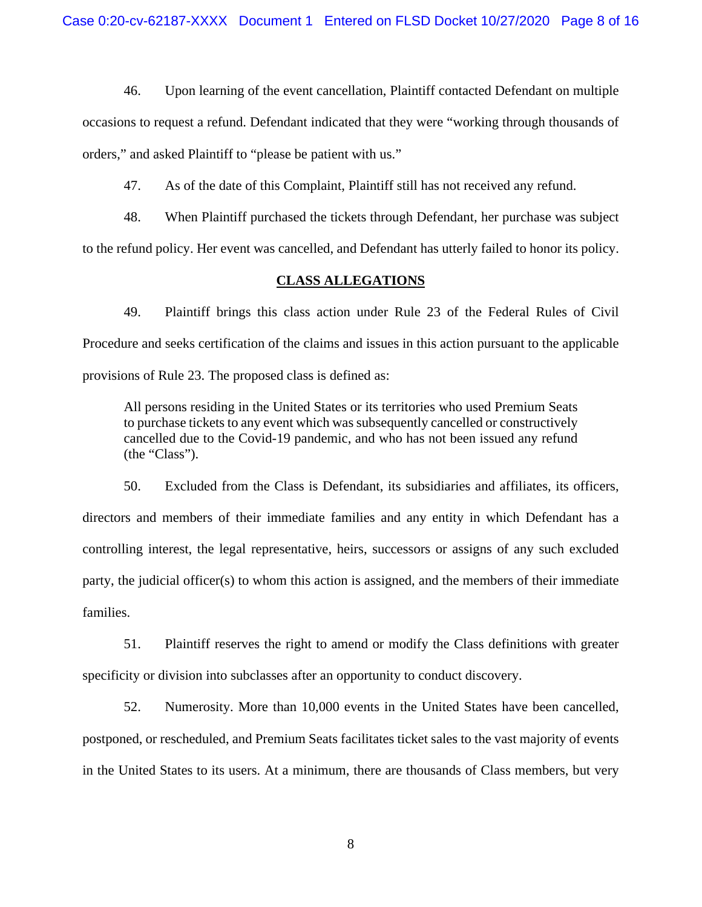46. Upon learning of the event cancellation, Plaintiff contacted Defendant on multiple

occasions to request a refund. Defendant indicated that they were "working through thousands of orders," and asked Plaintiff to "please be patient with us."

47. As of the date of this Complaint, Plaintiff still has not received any refund.

48. When Plaintiff purchased the tickets through Defendant, her purchase was subject

to the refund policy. Her event was cancelled, and Defendant has utterly failed to honor its policy.

#### **CLASS ALLEGATIONS**

49. Plaintiff brings this class action under Rule 23 of the Federal Rules of Civil Procedure and seeks certification of the claims and issues in this action pursuant to the applicable provisions of Rule 23. The proposed class is defined as:

All persons residing in the United States or its territories who used Premium Seats to purchase tickets to any event which was subsequently cancelled or constructively cancelled due to the Covid-19 pandemic, and who has not been issued any refund (the "Class").

50. Excluded from the Class is Defendant, its subsidiaries and affiliates, its officers, directors and members of their immediate families and any entity in which Defendant has a controlling interest, the legal representative, heirs, successors or assigns of any such excluded party, the judicial officer(s) to whom this action is assigned, and the members of their immediate families.

51. Plaintiff reserves the right to amend or modify the Class definitions with greater specificity or division into subclasses after an opportunity to conduct discovery.

52. Numerosity. More than 10,000 events in the United States have been cancelled, postponed, or rescheduled, and Premium Seats facilitates ticket sales to the vast majority of events in the United States to its users. At a minimum, there are thousands of Class members, but very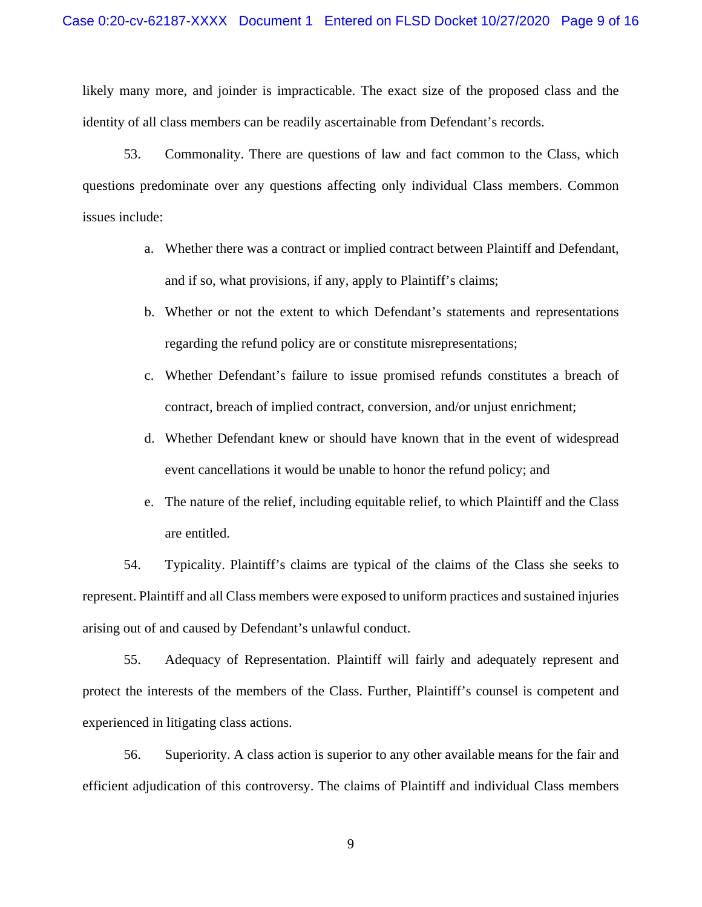likely many more, and joinder is impracticable. The exact size of the proposed class and the identity of all class members can be readily ascertainable from Defendant's records.

53. Commonality. There are questions of law and fact common to the Class, which questions predominate over any questions affecting only individual Class members. Common issues include:

- a. Whether there was a contract or implied contract between Plaintiff and Defendant, and if so, what provisions, if any, apply to Plaintiff's claims;
- b. Whether or not the extent to which Defendant's statements and representations regarding the refund policy are or constitute misrepresentations;
- c. Whether Defendant's failure to issue promised refunds constitutes a breach of contract, breach of implied contract, conversion, and/or unjust enrichment;
- d. Whether Defendant knew or should have known that in the event of widespread event cancellations it would be unable to honor the refund policy; and
- e. The nature of the relief, including equitable relief, to which Plaintiff and the Class are entitled.

54. Typicality. Plaintiff's claims are typical of the claims of the Class she seeks to represent. Plaintiff and all Class members were exposed to uniform practices and sustained injuries arising out of and caused by Defendant's unlawful conduct.

55. Adequacy of Representation. Plaintiff will fairly and adequately represent and protect the interests of the members of the Class. Further, Plaintiff's counsel is competent and experienced in litigating class actions.

56. Superiority. A class action is superior to any other available means for the fair and efficient adjudication of this controversy. The claims of Plaintiff and individual Class members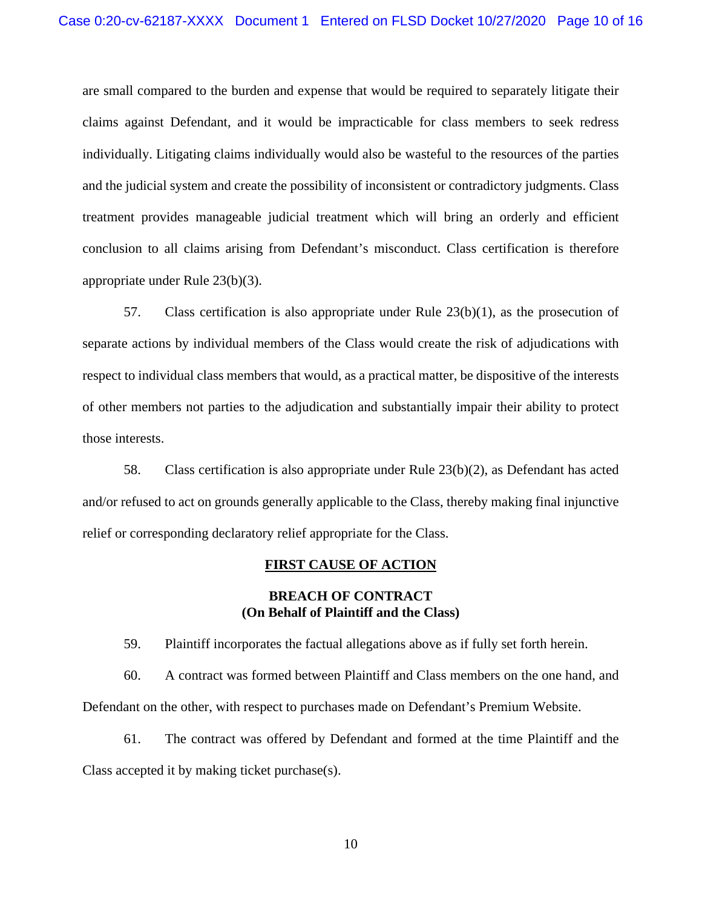are small compared to the burden and expense that would be required to separately litigate their claims against Defendant, and it would be impracticable for class members to seek redress individually. Litigating claims individually would also be wasteful to the resources of the parties and the judicial system and create the possibility of inconsistent or contradictory judgments. Class treatment provides manageable judicial treatment which will bring an orderly and efficient conclusion to all claims arising from Defendant's misconduct. Class certification is therefore appropriate under Rule 23(b)(3).

57. Class certification is also appropriate under Rule 23(b)(1), as the prosecution of separate actions by individual members of the Class would create the risk of adjudications with respect to individual class members that would, as a practical matter, be dispositive of the interests of other members not parties to the adjudication and substantially impair their ability to protect those interests.

58. Class certification is also appropriate under Rule 23(b)(2), as Defendant has acted and/or refused to act on grounds generally applicable to the Class, thereby making final injunctive relief or corresponding declaratory relief appropriate for the Class.

#### **FIRST CAUSE OF ACTION**

#### **BREACH OF CONTRACT (On Behalf of Plaintiff and the Class)**

59. Plaintiff incorporates the factual allegations above as if fully set forth herein.

60. A contract was formed between Plaintiff and Class members on the one hand, and Defendant on the other, with respect to purchases made on Defendant's Premium Website.

61. The contract was offered by Defendant and formed at the time Plaintiff and the Class accepted it by making ticket purchase(s).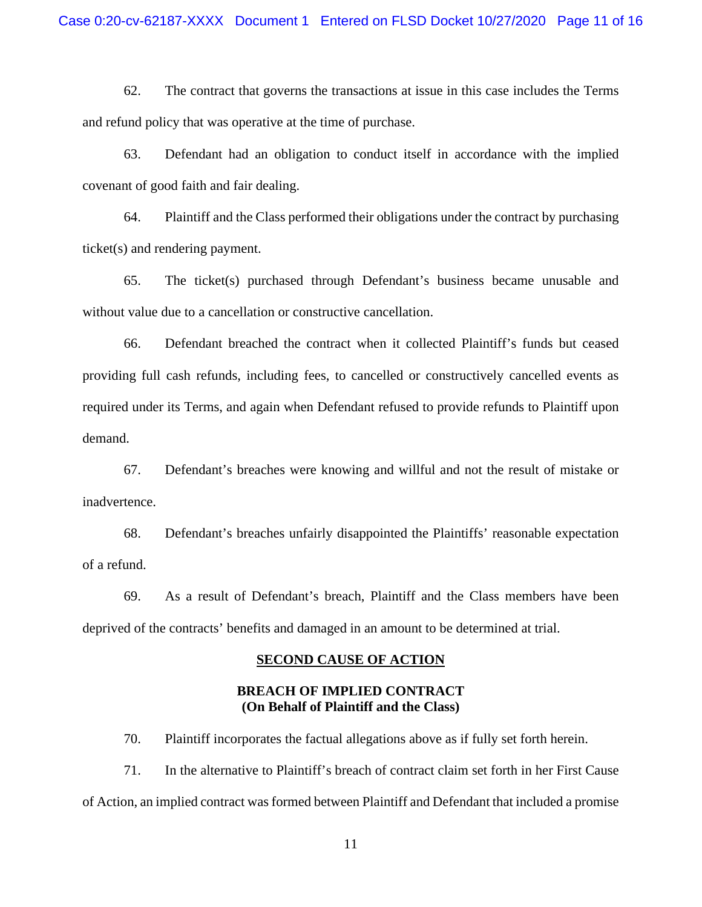62. The contract that governs the transactions at issue in this case includes the Terms and refund policy that was operative at the time of purchase.

63. Defendant had an obligation to conduct itself in accordance with the implied covenant of good faith and fair dealing.

64. Plaintiff and the Class performed their obligations under the contract by purchasing ticket(s) and rendering payment.

65. The ticket(s) purchased through Defendant's business became unusable and without value due to a cancellation or constructive cancellation.

66. Defendant breached the contract when it collected Plaintiff's funds but ceased providing full cash refunds, including fees, to cancelled or constructively cancelled events as required under its Terms, and again when Defendant refused to provide refunds to Plaintiff upon demand.

67. Defendant's breaches were knowing and willful and not the result of mistake or inadvertence.

68. Defendant's breaches unfairly disappointed the Plaintiffs' reasonable expectation of a refund.

69. As a result of Defendant's breach, Plaintiff and the Class members have been deprived of the contracts' benefits and damaged in an amount to be determined at trial.

#### **SECOND CAUSE OF ACTION**

### **BREACH OF IMPLIED CONTRACT (On Behalf of Plaintiff and the Class)**

70. Plaintiff incorporates the factual allegations above as if fully set forth herein.

71. In the alternative to Plaintiff's breach of contract claim set forth in her First Cause of Action, an implied contract was formed between Plaintiff and Defendant that included a promise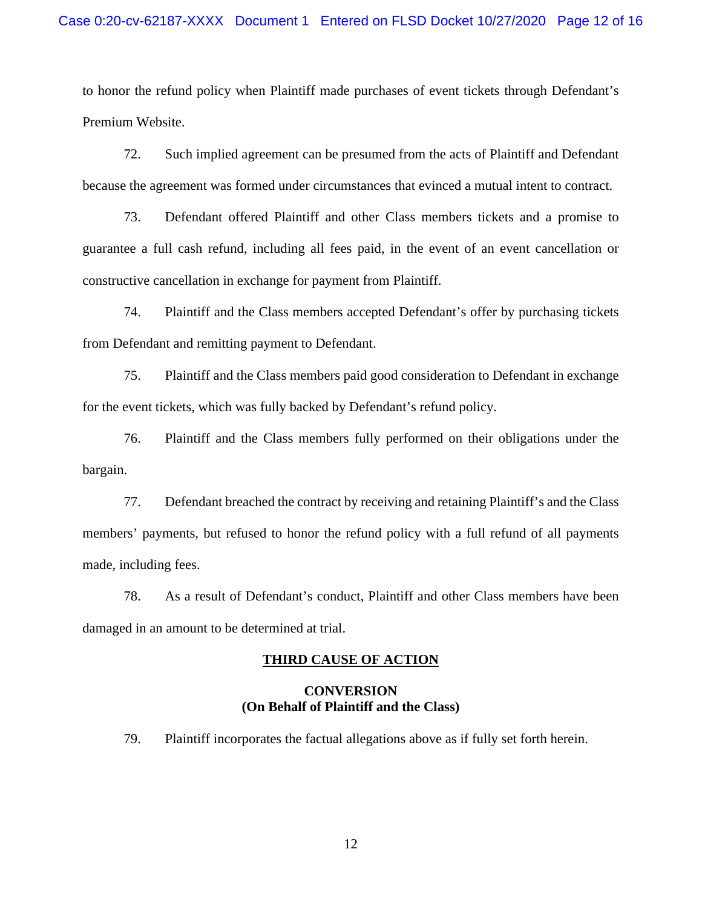to honor the refund policy when Plaintiff made purchases of event tickets through Defendant's Premium Website.

72. Such implied agreement can be presumed from the acts of Plaintiff and Defendant because the agreement was formed under circumstances that evinced a mutual intent to contract.

73. Defendant offered Plaintiff and other Class members tickets and a promise to guarantee a full cash refund, including all fees paid, in the event of an event cancellation or constructive cancellation in exchange for payment from Plaintiff.

74. Plaintiff and the Class members accepted Defendant's offer by purchasing tickets from Defendant and remitting payment to Defendant.

75. Plaintiff and the Class members paid good consideration to Defendant in exchange for the event tickets, which was fully backed by Defendant's refund policy.

76. Plaintiff and the Class members fully performed on their obligations under the bargain.

77. Defendant breached the contract by receiving and retaining Plaintiff's and the Class members' payments, but refused to honor the refund policy with a full refund of all payments made, including fees.

78. As a result of Defendant's conduct, Plaintiff and other Class members have been damaged in an amount to be determined at trial.

#### **THIRD CAUSE OF ACTION**

## **CONVERSION (On Behalf of Plaintiff and the Class)**

79. Plaintiff incorporates the factual allegations above as if fully set forth herein.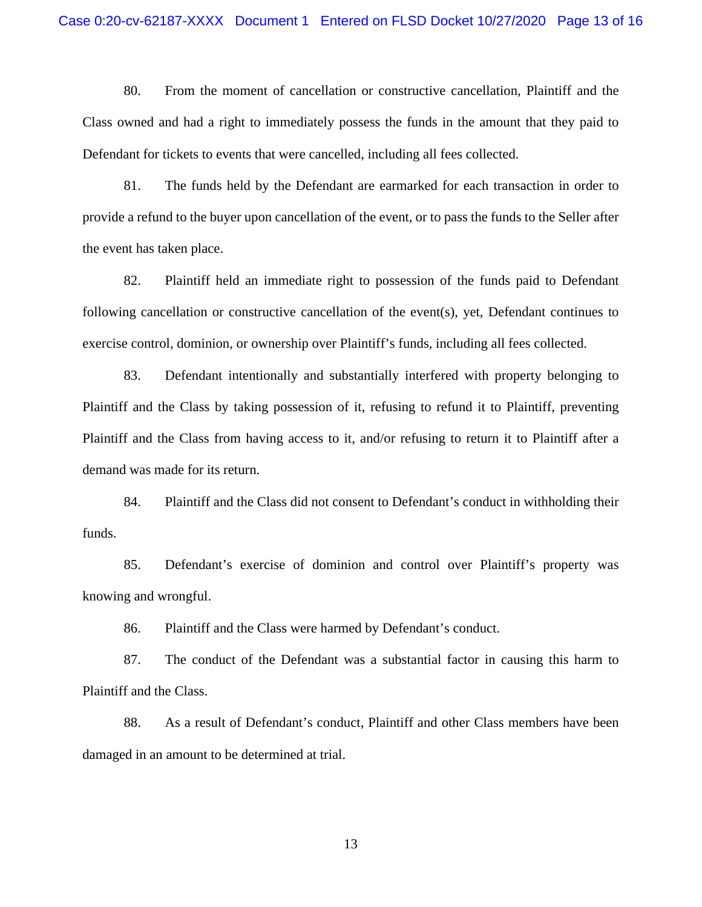80. From the moment of cancellation or constructive cancellation, Plaintiff and the Class owned and had a right to immediately possess the funds in the amount that they paid to Defendant for tickets to events that were cancelled, including all fees collected.

81. The funds held by the Defendant are earmarked for each transaction in order to provide a refund to the buyer upon cancellation of the event, or to pass the funds to the Seller after the event has taken place.

82. Plaintiff held an immediate right to possession of the funds paid to Defendant following cancellation or constructive cancellation of the event(s), yet, Defendant continues to exercise control, dominion, or ownership over Plaintiff's funds, including all fees collected.

83. Defendant intentionally and substantially interfered with property belonging to Plaintiff and the Class by taking possession of it, refusing to refund it to Plaintiff, preventing Plaintiff and the Class from having access to it, and/or refusing to return it to Plaintiff after a demand was made for its return.

84. Plaintiff and the Class did not consent to Defendant's conduct in withholding their funds.

85. Defendant's exercise of dominion and control over Plaintiff's property was knowing and wrongful.

86. Plaintiff and the Class were harmed by Defendant's conduct.

87. The conduct of the Defendant was a substantial factor in causing this harm to Plaintiff and the Class.

88. As a result of Defendant's conduct, Plaintiff and other Class members have been damaged in an amount to be determined at trial.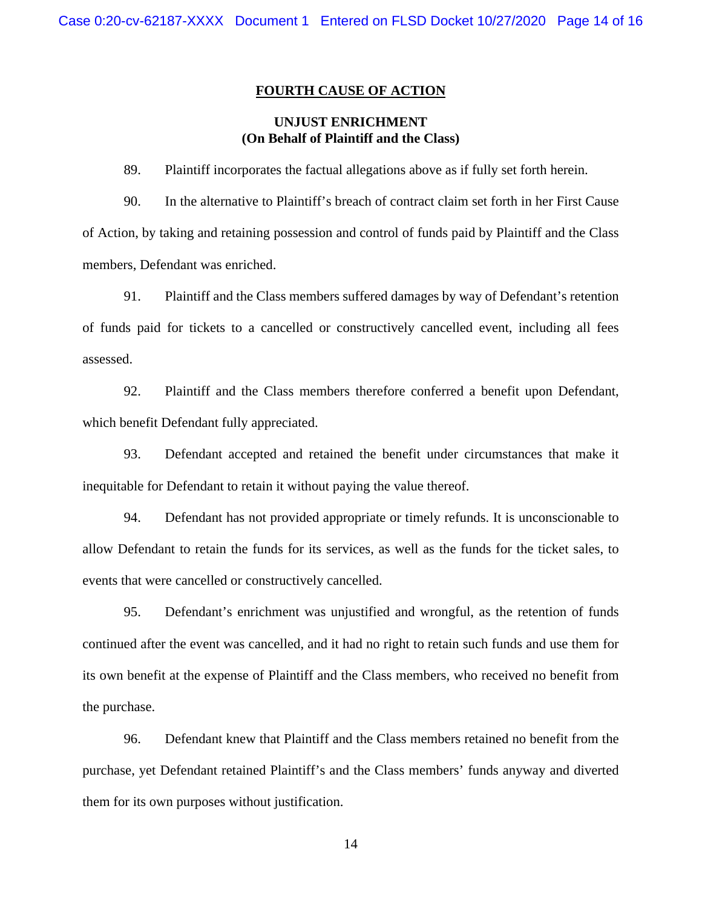#### **FOURTH CAUSE OF ACTION**

## **UNJUST ENRICHMENT (On Behalf of Plaintiff and the Class)**

89. Plaintiff incorporates the factual allegations above as if fully set forth herein.

90. In the alternative to Plaintiff's breach of contract claim set forth in her First Cause of Action, by taking and retaining possession and control of funds paid by Plaintiff and the Class members, Defendant was enriched.

91. Plaintiff and the Class members suffered damages by way of Defendant's retention of funds paid for tickets to a cancelled or constructively cancelled event, including all fees assessed.

92. Plaintiff and the Class members therefore conferred a benefit upon Defendant, which benefit Defendant fully appreciated.

93. Defendant accepted and retained the benefit under circumstances that make it inequitable for Defendant to retain it without paying the value thereof.

94. Defendant has not provided appropriate or timely refunds. It is unconscionable to allow Defendant to retain the funds for its services, as well as the funds for the ticket sales, to events that were cancelled or constructively cancelled.

95. Defendant's enrichment was unjustified and wrongful, as the retention of funds continued after the event was cancelled, and it had no right to retain such funds and use them for its own benefit at the expense of Plaintiff and the Class members, who received no benefit from the purchase.

96. Defendant knew that Plaintiff and the Class members retained no benefit from the purchase, yet Defendant retained Plaintiff's and the Class members' funds anyway and diverted them for its own purposes without justification.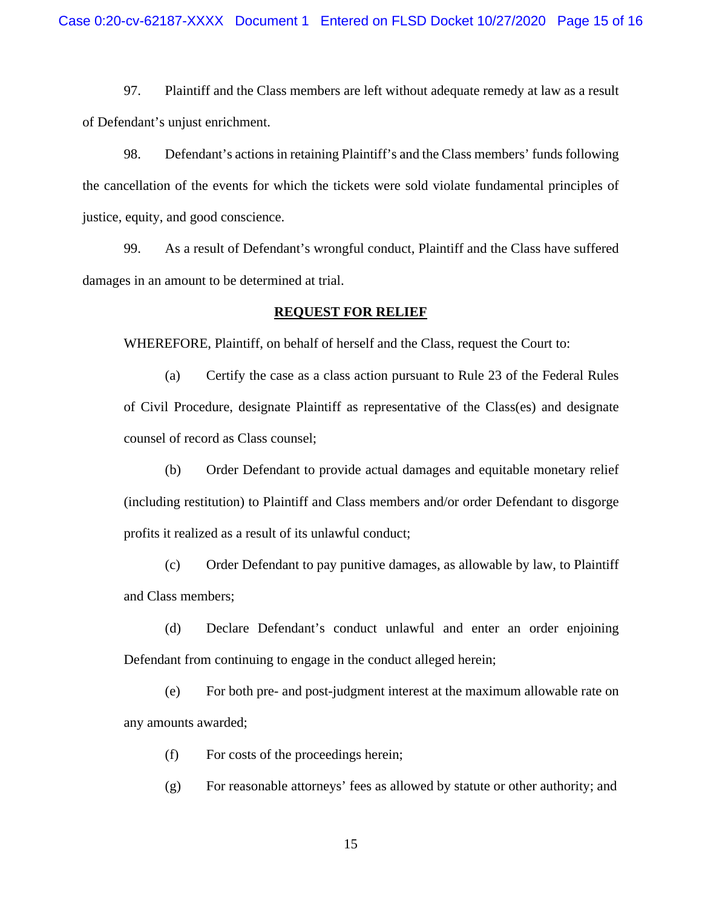97. Plaintiff and the Class members are left without adequate remedy at law as a result of Defendant's unjust enrichment.

98. Defendant's actions in retaining Plaintiff's and the Class members' funds following the cancellation of the events for which the tickets were sold violate fundamental principles of justice, equity, and good conscience.

99. As a result of Defendant's wrongful conduct, Plaintiff and the Class have suffered damages in an amount to be determined at trial.

#### **REQUEST FOR RELIEF**

WHEREFORE, Plaintiff, on behalf of herself and the Class, request the Court to:

(a) Certify the case as a class action pursuant to Rule 23 of the Federal Rules of Civil Procedure, designate Plaintiff as representative of the Class(es) and designate counsel of record as Class counsel;

(b) Order Defendant to provide actual damages and equitable monetary relief (including restitution) to Plaintiff and Class members and/or order Defendant to disgorge profits it realized as a result of its unlawful conduct;

(c) Order Defendant to pay punitive damages, as allowable by law, to Plaintiff and Class members;

(d) Declare Defendant's conduct unlawful and enter an order enjoining Defendant from continuing to engage in the conduct alleged herein;

(e) For both pre- and post-judgment interest at the maximum allowable rate on any amounts awarded;

(f) For costs of the proceedings herein;

(g) For reasonable attorneys' fees as allowed by statute or other authority; and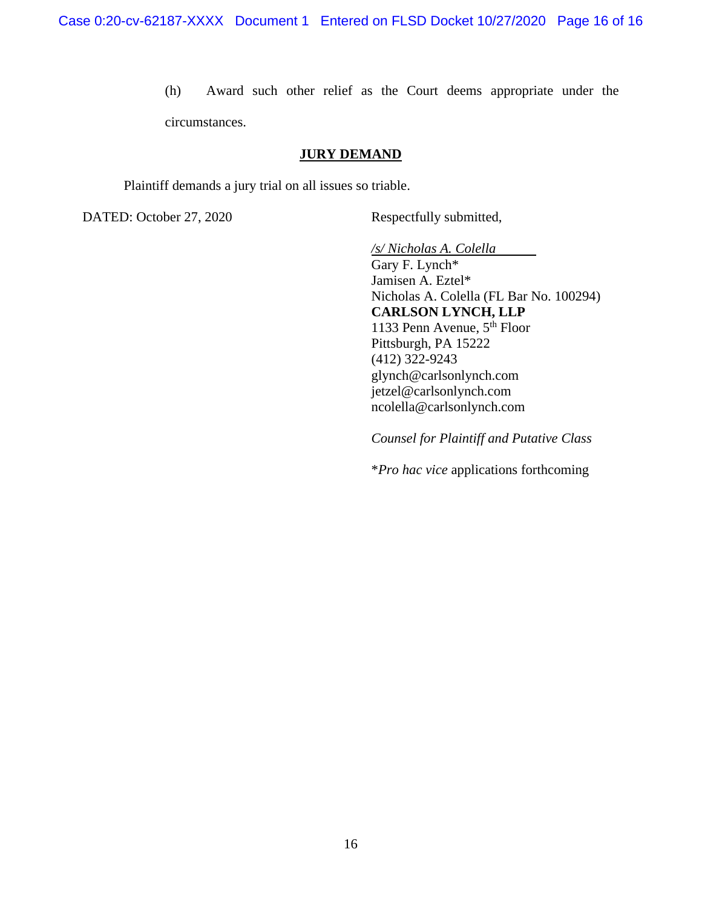(h) Award such other relief as the Court deems appropriate under the circumstances.

#### **JURY DEMAND**

Plaintiff demands a jury trial on all issues so triable.

DATED: October 27, 2020 Respectfully submitted,

*/s/ Nicholas A. Colella*

Gary F. Lynch\* Jamisen A. Eztel\* Nicholas A. Colella (FL Bar No. 100294) **CARLSON LYNCH, LLP** 1133 Penn Avenue,  $5<sup>th</sup>$  Floor Pittsburgh, PA 15222 (412) 322-9243 glynch@carlsonlynch.com jetzel@carlsonlynch.com ncolella@carlsonlynch.com

*Counsel for Plaintiff and Putative Class*

\**Pro hac vice* applications forthcoming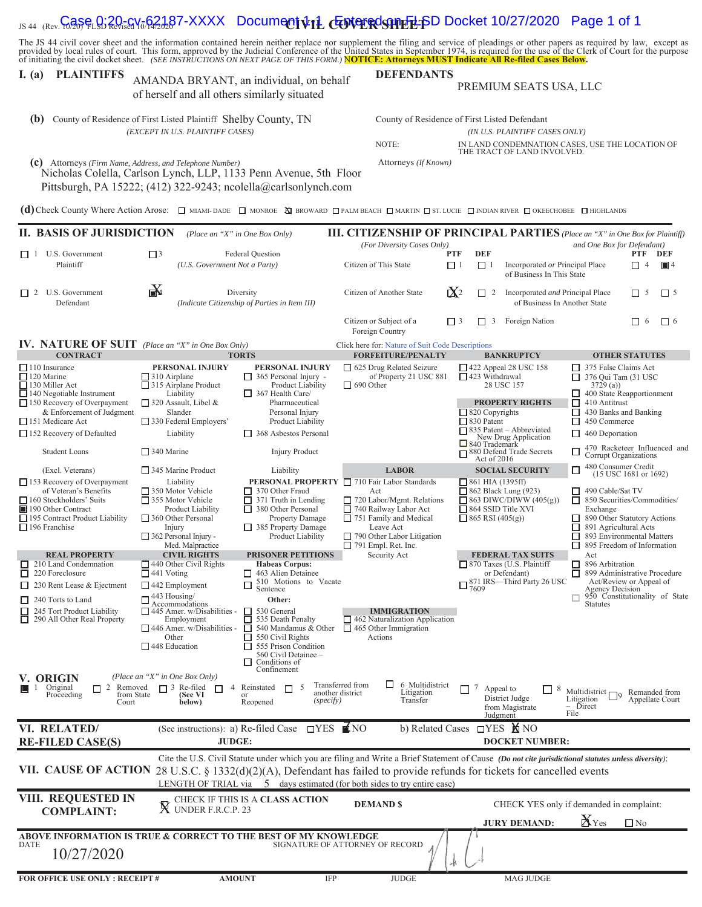| JS 44 (Rev. 10/20) FLSD Revised 10/14/2020                                                                                                                                                                                                                                                                                                                                                                                                                                                                                           | , , , , ,                                                                                                                                                                                                                                                            | <b>POODING I VIE CUVER SHEEP</b>                                                                                                                                                                                                                                                                                       |                                                                                                                                                                                                                                                   |                        |                                                                                                                                                                                                        |                                                                                                                                                                          |                                                                                                                                                  |           |
|--------------------------------------------------------------------------------------------------------------------------------------------------------------------------------------------------------------------------------------------------------------------------------------------------------------------------------------------------------------------------------------------------------------------------------------------------------------------------------------------------------------------------------------|----------------------------------------------------------------------------------------------------------------------------------------------------------------------------------------------------------------------------------------------------------------------|------------------------------------------------------------------------------------------------------------------------------------------------------------------------------------------------------------------------------------------------------------------------------------------------------------------------|---------------------------------------------------------------------------------------------------------------------------------------------------------------------------------------------------------------------------------------------------|------------------------|--------------------------------------------------------------------------------------------------------------------------------------------------------------------------------------------------------|--------------------------------------------------------------------------------------------------------------------------------------------------------------------------|--------------------------------------------------------------------------------------------------------------------------------------------------|-----------|
| The JS 44 civil cover sheet and the information contained herein neither replace nor supplement the filing and service of pleadings or other papers as required by law, except as<br>provided by local rules of court. This form, approved by the Judicial Conference of the United States in September 1974, is required for the use of the Clerk of Court for the purpose<br>of initiating the civil docket sheet. (SEE INSTRUCTIONS ON NEXT PAGE OF THIS FORM.) <b>NOTICE: Attorneys MUST Indicate All Re-filed Cases Below</b> . |                                                                                                                                                                                                                                                                      |                                                                                                                                                                                                                                                                                                                        |                                                                                                                                                                                                                                                   |                        |                                                                                                                                                                                                        |                                                                                                                                                                          |                                                                                                                                                  |           |
| <b>PLAINTIFFS</b><br>l. (a)<br>of herself and all others similarly situated                                                                                                                                                                                                                                                                                                                                                                                                                                                          | AMANDA BRYANT, an individual, on behalf                                                                                                                                                                                                                              | <b>DEFENDANTS</b><br>PREMIUM SEATS USA, LLC                                                                                                                                                                                                                                                                            |                                                                                                                                                                                                                                                   |                        |                                                                                                                                                                                                        |                                                                                                                                                                          |                                                                                                                                                  |           |
| (b)                                                                                                                                                                                                                                                                                                                                                                                                                                                                                                                                  | County of Residence of First Listed Plaintiff Shelby County, TN<br>(EXCEPT IN U.S. PLAINTIFF CASES)                                                                                                                                                                  |                                                                                                                                                                                                                                                                                                                        |                                                                                                                                                                                                                                                   |                        | County of Residence of First Listed Defendant<br>(IN U.S. PLAINTIFF CASES ONLY)                                                                                                                        |                                                                                                                                                                          |                                                                                                                                                  |           |
|                                                                                                                                                                                                                                                                                                                                                                                                                                                                                                                                      |                                                                                                                                                                                                                                                                      |                                                                                                                                                                                                                                                                                                                        | NOTE:                                                                                                                                                                                                                                             |                        | IN LAND CONDEMNATION CASES, USE THE LOCATION OF<br>THE TRACT OF LAND INVOLVED.                                                                                                                         |                                                                                                                                                                          |                                                                                                                                                  |           |
| (C) Attorneys (Firm Name, Address, and Telephone Number)                                                                                                                                                                                                                                                                                                                                                                                                                                                                             | Nicholas Colella, Carlson Lynch, LLP, 1133 Penn Avenue, 5th Floor<br>Pittsburgh, PA 15222; (412) 322-9243; ncolella@carlsonlynch.com                                                                                                                                 |                                                                                                                                                                                                                                                                                                                        | Attorneys (If Known)                                                                                                                                                                                                                              |                        |                                                                                                                                                                                                        |                                                                                                                                                                          |                                                                                                                                                  |           |
| (d) Check County Where Action Arose: $\Box$ MIAMI-DADE $\Box$ MONROE $\Box$ BROWARD $\Box$ PALM BEACH $\Box$ MARTIN $\Box$ ST. LUCIE $\Box$ INDIAN RIVER $\Box$ OKEECHOBEE $\Box$ HIGHLANDS                                                                                                                                                                                                                                                                                                                                          |                                                                                                                                                                                                                                                                      |                                                                                                                                                                                                                                                                                                                        |                                                                                                                                                                                                                                                   |                        |                                                                                                                                                                                                        |                                                                                                                                                                          |                                                                                                                                                  |           |
| <b>II. BASIS OF JURISDICTION</b>                                                                                                                                                                                                                                                                                                                                                                                                                                                                                                     |                                                                                                                                                                                                                                                                      | (Place an "X" in One Box Only)                                                                                                                                                                                                                                                                                         | <b>III. CITIZENSHIP OF PRINCIPAL PARTIES</b> (Place an "X" in One Box for Plaintiff)<br>(For Diversity Cases Only)                                                                                                                                |                        |                                                                                                                                                                                                        | and One Box for Defendant)                                                                                                                                               |                                                                                                                                                  |           |
| $\Box$ 1 U.S. Government<br>Plaintiff                                                                                                                                                                                                                                                                                                                                                                                                                                                                                                | $\Box$ <sup>3</sup><br>(U.S. Government Not a Party)                                                                                                                                                                                                                 | Federal Question                                                                                                                                                                                                                                                                                                       | Citizen of This State                                                                                                                                                                                                                             | <b>PTF</b><br>$\Box$ 1 | <b>DEF</b><br>$\Box$ 1<br>Incorporated or Principal Place<br>of Business In This State                                                                                                                 |                                                                                                                                                                          | PTF<br>DEF<br>$\blacksquare$ 4<br>$\overline{4}$<br>$\Box$                                                                                       |           |
| $\Box$ 2 U.S. Government<br>Defendant                                                                                                                                                                                                                                                                                                                                                                                                                                                                                                | ¥                                                                                                                                                                                                                                                                    | Diversity<br>(Indicate Citizenship of Parties in Item III)                                                                                                                                                                                                                                                             | Citizen of Another State                                                                                                                                                                                                                          | $\mathbf{X}^2$         | Incorporated and Principal Place<br>$\Box$ 2<br>of Business In Another State                                                                                                                           |                                                                                                                                                                          | $\Box$ 5                                                                                                                                         | $\prod 5$ |
|                                                                                                                                                                                                                                                                                                                                                                                                                                                                                                                                      |                                                                                                                                                                                                                                                                      |                                                                                                                                                                                                                                                                                                                        | Citizen or Subject of a<br>Foreign Country                                                                                                                                                                                                        | $\Box$ 3               | $\Box$ 3<br>Foreign Nation                                                                                                                                                                             |                                                                                                                                                                          | $\Box$ 6<br>□ 6                                                                                                                                  |           |
| <b>IV. NATURE OF SUIT</b> (Place an "X" in One Box Only)<br><b>CONTRACT</b>                                                                                                                                                                                                                                                                                                                                                                                                                                                          |                                                                                                                                                                                                                                                                      | <b>TORTS</b>                                                                                                                                                                                                                                                                                                           | Click here for: Nature of Suit Code Descriptions<br><b>FORFEITURE/PENALTY</b>                                                                                                                                                                     |                        | <b>BANKRUPTCY</b>                                                                                                                                                                                      |                                                                                                                                                                          | <b>OTHER STATUTES</b>                                                                                                                            |           |
| 110 Insurance<br>$\Box$ 120 Marine<br>□ 130 Miller Act<br>$\Box$ 140 Negotiable Instrument<br>$\Box$ 150 Recovery of Overpayment<br>& Enforcement of Judgment<br>$\Box$ 151 Medicare Act<br>$\Box$ 152 Recovery of Defaulted                                                                                                                                                                                                                                                                                                         | PERSONAL INJURY<br>$\Box$ 310 Airplane<br>315 Airplane Product<br>Liability<br>$\Box$ 320 Assault, Libel &<br>Slander<br>330 Federal Employers'<br>Liability                                                                                                         | PERSONAL INJURY<br>$\Box$ 365 Personal Injury -<br>Product Liability<br>$\Box$ 367 Health Care/<br>Pharmaceutical<br>Personal Injury<br>Product Liability<br>368 Asbestos Personal                                                                                                                                     | □ 625 Drug Related Seizure<br>of Property 21 USC 881<br>$\Box$ 690 Other                                                                                                                                                                          |                        | $\Box$ 422 Appeal 28 USC 158<br>$\Box$ 423 Withdrawal<br>28 USC 157<br><b>PROPERTY RIGHTS</b><br>$\Box$ 820 Copyrights<br>$\Box$ 830 Patent<br>$\Box$ 835 Patent – Abbreviated<br>New Drug Application | 375 False Claims Act<br>□<br>376 Qui Tam (31 USC<br>□<br>3729(a)<br>□<br>$\Box$ 410 Antitrust<br>□<br>430 Banks and Banking<br>450 Commerce<br>□<br>□<br>460 Deportation | 400 State Reapportionment                                                                                                                        |           |
| <b>Student Loans</b>                                                                                                                                                                                                                                                                                                                                                                                                                                                                                                                 | $\Box$ 340 Marine                                                                                                                                                                                                                                                    | <b>Injury Product</b>                                                                                                                                                                                                                                                                                                  |                                                                                                                                                                                                                                                   |                        | $\Box$ 840 Trademark<br>□ 880 Defend Trade Secrets<br>Act of 2016                                                                                                                                      | □<br>Corrupt Organizations                                                                                                                                               | 470 Racketeer Influenced and                                                                                                                     |           |
| (Excl. Veterans)<br>$\Box$ 153 Recovery of Overpayment<br>of Veteran's Benefits<br>□ 160 Stockholders' Suits<br>190 Other Contract<br>□ 195 Contract Product Liability<br>$\Box$ 196 Franchise                                                                                                                                                                                                                                                                                                                                       | $\Box$ 345 Marine Product<br>Liability<br>350 Motor Vehicle<br>355 Motor Vehicle<br>Product Liability<br>$\Box$ 360 Other Personal<br>Injury<br>$\Box$ 362 Personal Injury -<br>Med. Malpractice                                                                     | Liability<br>$\Box$ 370 Other Fraud<br>$\Box$ 371 Truth in Lending<br>380 Other Personal<br>Property Damage<br>385 Property Damage<br>Product Liability                                                                                                                                                                | <b>LABOR</b><br>PERSONAL PROPERTY □ 710 Fair Labor Standards<br>Act<br>$\Box$ 720 Labor/Mgmt. Relations<br>740 Railway Labor Act<br>$\Box$ 751 Family and Medical<br>Leave Act<br>$\Box$ 790 Other Labor Litigation<br>$\Box$ 791 Empl. Ret. Inc. |                        | <b>SOCIAL SECURITY</b><br>$\Box$ 861 HIA (1395ff)<br>$\Box$ 862 Black Lung (923)<br>$\Box$ 863 DIWC/DIWW (405(g))<br>$\Box$ 864 SSID Title XVI<br>$\Box$ 865 RSI (405(g))                              | 480 Consumer Credit<br>□<br>490 Cable/Sat TV<br>□<br>□<br>Exchange<br>□<br>891 Agricultural Acts<br>□<br>□                                                               | $(15$ USC 1681 or 1692)<br>850 Securities/Commodities/<br>890 Other Statutory Actions<br>893 Environmental Matters<br>895 Freedom of Information |           |
| <b>REAL PROPERTY</b><br>210 Land Condemnation<br>ப<br>$\Box$ 220 Foreclosure<br>$\Box$ 230 Rent Lease & Ejectment<br>240 Torts to Land<br>$\Box$ 245 Tort Product Liability<br>290 All Other Real Property                                                                                                                                                                                                                                                                                                                           | <b>CIVIL RIGHTS</b><br>$\Box$ 440 Other Civil Rights<br>$\Box$ 441 Voting<br>$\Box$ 442 Employment<br>$\Box$ 443 Housing/<br>Accommodations<br>$\Box$ 445 Amer. w/Disabilities -<br>Employment<br>$\Box$ 446 Amer. w/Disabilities -<br>Other<br>$\Box$ 448 Education | <b>PRISONER PETITIONS</b><br><b>Habeas Corpus:</b><br>$\Box$ 463 Alien Detainee<br>510 Motions to Vacate<br>□<br>Sentence<br>Other:<br>530 General<br>535 Death Penalty<br>540 Mandamus & Other<br>□<br>$\Box$ 550 Civil Rights<br>$\Box$ 555 Prison Condition<br>560 Civil Detainee -<br>Conditions of<br>Confinement | Security Act<br><b>IMMIGRATION</b><br>$\Box$ 462 Naturalization Application<br>$\Box$ 465 Other Immigration<br>Actions                                                                                                                            |                        | <b>FEDERAL TAX SUITS</b><br>$\Box$ 870 Taxes (U.S. Plaintiff<br>or Defendant)<br>$\Box$<br>871 IRS—Third Party 26 USC                                                                                  | Act<br>896 Arbitration<br>ப<br>□<br>Agency Decision<br><b>Statutes</b>                                                                                                   | 899 Administrative Procedure<br>Act/Review or Appeal of<br>950 Constitutionality of State                                                        |           |
| V. ORIGIN<br>2 Removed<br>Original<br>$\mathbf{1}$<br>□<br>from State<br>Proceeding<br>Court                                                                                                                                                                                                                                                                                                                                                                                                                                         | (Place an "X" in One Box Only)<br>$\Box$ 3 Re-filed<br>$\Box$<br>$\overline{4}$<br>(See VI<br>below)                                                                                                                                                                 | Reinstated<br>5<br>$\Box$<br>another district<br>or<br>(specify)<br>Reopened                                                                                                                                                                                                                                           | $\Box$ 6 Multidistrict<br>Transferred from<br>Litigation<br>Transfer                                                                                                                                                                              | П<br>7                 | Appeal to<br>8<br>District Judge<br>from Magistrate<br>Judgment                                                                                                                                        | Multidistrict $\vdash$<br>Litigation<br>- Direct<br>File                                                                                                                 | Remanded from<br>Appellate Court                                                                                                                 |           |
| VI. RELATED/<br><b>RE-FILED CASE(S)</b>                                                                                                                                                                                                                                                                                                                                                                                                                                                                                              | (See instructions): a) Re-filed Case<br><b>JUDGE:</b>                                                                                                                                                                                                                | $\Box$ YES $\blacksquare$ NO                                                                                                                                                                                                                                                                                           | b) Related Cases                                                                                                                                                                                                                                  |                        | <b>□YES NO</b> NO<br><b>DOCKET NUMBER:</b>                                                                                                                                                             |                                                                                                                                                                          |                                                                                                                                                  |           |
| VII. CAUSE OF ACTION 28 U.S.C. § 1332(d)(2)(A), Defendant has failed to provide refunds for tickets for cancelled events                                                                                                                                                                                                                                                                                                                                                                                                             |                                                                                                                                                                                                                                                                      |                                                                                                                                                                                                                                                                                                                        | Cite the U.S. Civil Statute under which you are filing and Write a Brief Statement of Cause (Do not cite jurisdictional statutes unless diversity):<br>LENGTH OF TRIAL via 5 days estimated (for both sides to try entire case)                   |                        |                                                                                                                                                                                                        |                                                                                                                                                                          |                                                                                                                                                  |           |
| VIII. REQUESTED IN<br><b>COMPLAINT:</b>                                                                                                                                                                                                                                                                                                                                                                                                                                                                                              | $\mathbb X$ under f.r.c.p. 23                                                                                                                                                                                                                                        | CHECK IF THIS IS A CLASS ACTION                                                                                                                                                                                                                                                                                        | <b>DEMAND \$</b>                                                                                                                                                                                                                                  |                        | CHECK YES only if demanded in complaint:<br><b>JURY DEMAND:</b>                                                                                                                                        | $\mathbf{X}_{\text{Yes}}$                                                                                                                                                | $\Box$ No                                                                                                                                        |           |
| ABOVE INFORMATION IS TRUE & CORRECT TO THE BEST OF MY KNOWLEDGE<br>DATE<br>10/27/2020                                                                                                                                                                                                                                                                                                                                                                                                                                                |                                                                                                                                                                                                                                                                      |                                                                                                                                                                                                                                                                                                                        | SIGNATURE OF ATTORNEY OF RECORD                                                                                                                                                                                                                   |                        |                                                                                                                                                                                                        |                                                                                                                                                                          |                                                                                                                                                  |           |
| FOR OFFICE USE ONLY: RECEIPT #                                                                                                                                                                                                                                                                                                                                                                                                                                                                                                       | <b>AMOUNT</b>                                                                                                                                                                                                                                                        | IFP                                                                                                                                                                                                                                                                                                                    | <b>JUDGE</b>                                                                                                                                                                                                                                      |                        | <b>MAG JUDGE</b>                                                                                                                                                                                       |                                                                                                                                                                          |                                                                                                                                                  |           |

## <sub>JS 44 (Rev.</sub>Gase<sub>L</sub>Q:20-cv<sub>o</sub>62187-XXXX Document የ11 Entered on FLSD Docket 10/27/2020 Page 1 of 1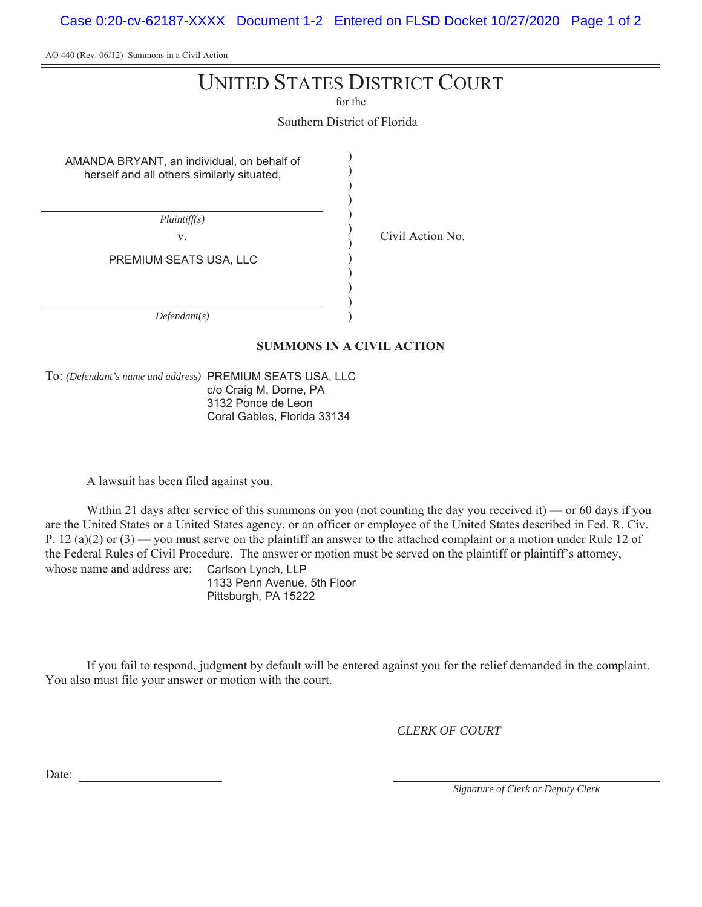Case 0:20-cv-62187-XXXX Document 1-2 Entered on FLSD Docket 10/27/2020 Page 1 of 2

AO 440 (Rev. 06/12) Summons in a Civil Action

# UNITED STATES DISTRICT COURT

for the

Southern District of Florida

) ) ) ) ) ) ) ) ) ) ) )

AMANDA BRYANT, an individual, on behalf of herself and all others similarly situated,

*Plaintiff(s)*

v. Civil Action No.

PREMIUM SEATS USA, LLC

*Defendant(s)*

#### **SUMMONS IN A CIVIL ACTION**

To: *(Defendant's name and address)* PREMIUM SEATS USA, LLC c/o Craig M. Dorne, PA 3132 Ponce de Leon Coral Gables, Florida 33134

A lawsuit has been filed against you.

Within 21 days after service of this summons on you (not counting the day you received it) — or 60 days if you are the United States or a United States agency, or an officer or employee of the United States described in Fed. R. Civ. P. 12 (a)(2) or (3) — you must serve on the plaintiff an answer to the attached complaint or a motion under Rule 12 of the Federal Rules of Civil Procedure. The answer or motion must be served on the plaintiff or plaintiff's attorney, whose name and address are: Carlson Lynch, LLP 1133 Penn Avenue, 5th Floor

Pittsburgh, PA 15222

If you fail to respond, judgment by default will be entered against you for the relief demanded in the complaint. You also must file your answer or motion with the court.

*CLERK OF COURT*

Date:

*Signature of Clerk or Deputy Clerk*